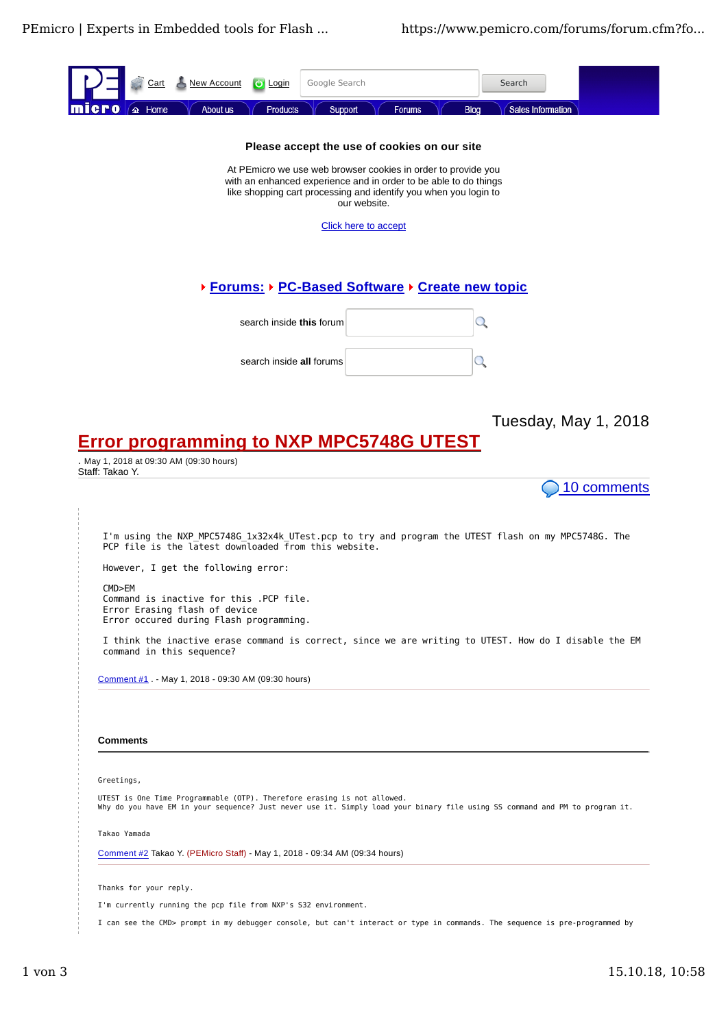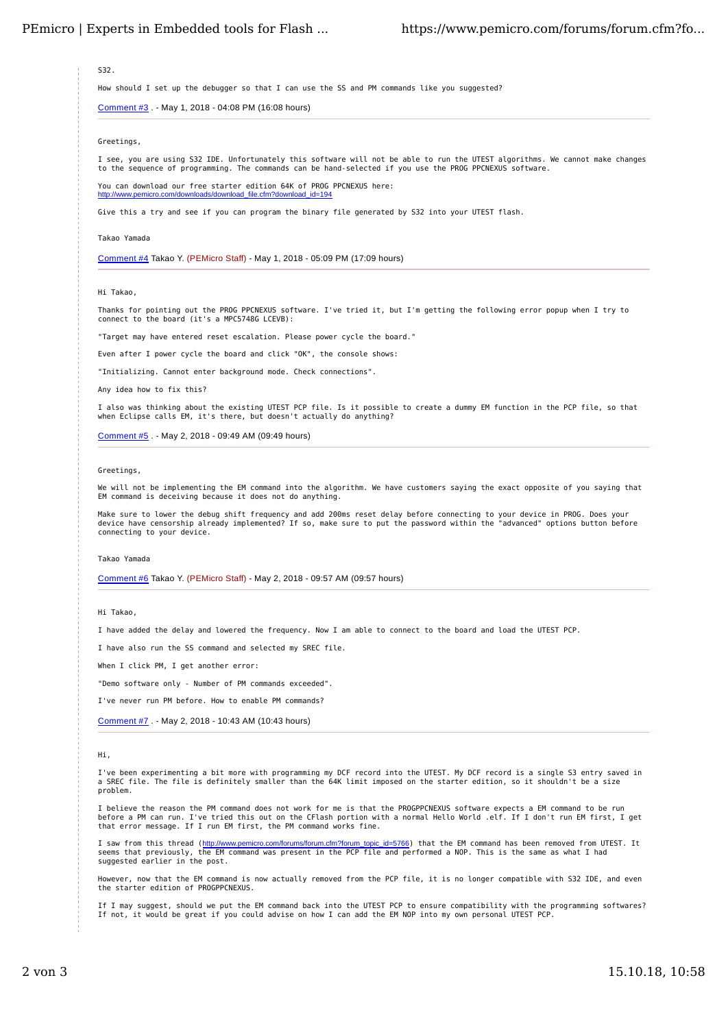S32.

How should I set up the debugger so that I can use the SS and PM commands like you suggested?

Comment #3 . - May 1, 2018 - 04:08 PM (16:08 hours)

Greetings,

I see, you are using S32 IDE. Unfortunately this software will not be able to run the UTEST algorithms. We cannot make changes<br>to the sequence of programming. The commands can be hand-selected if you use the PROG PPCNEXUS

You can download our free starter edition 64K of PROG PPCNEXUS here: http://www.pemicro.com/downloads/download\_file.cfm?download\_id=194

Give this a try and see if you can program the binary file generated by S32 into your UTEST flash.

#### Takao Yamada

Comment #4 Takao Y. (PEMicro Staff) - May 1, 2018 - 05:09 PM (17:09 hours)

### Hi Takao,

Thanks for pointing out the PROG PPCNEXUS software. I've tried it, but I'm getting the following error popup when I try to connect to the board (it's a MPC5748G LCEVB):

"Target may have entered reset escalation. Please power cycle the board."

Even after I power cycle the board and click "OK", the console shows:

"Initializing. Cannot enter background mode. Check connections".

Any idea how to fix this?

I also was thinking about the existing UTEST PCP file. Is it possible to create a dummy EM function in the PCP file, so that when Eclipse calls EM, it's there, but doesn't actually do anything?

Comment #5 . - May 2, 2018 - 09:49 AM (09:49 hours)

#### Greetings,

We will not be implementing the EM command into the algorithm. We have customers saying the exact opposite of you saying that EM command is deceiving because it does not do anything.

Make sure to lower the debug shift frequency and add 200ms reset delay before connecting to your device in PROG. Does your<br>device have censorship already implemented? If so, make sure to put the password within the "advanc connecting to your device.

#### Takao Yamada

Comment #6 Takao Y. (PEMicro Staff) - May 2, 2018 - 09:57 AM (09:57 hours)

## Hi Takao,

I have added the delay and lowered the frequency. Now I am able to connect to the board and load the UTEST PCP.

I have also run the SS command and selected my SREC file.

When I click PM, I get another error:

"Demo software only - Number of PM commands exceeded".

I've never run PM before. How to enable PM commands?

Comment #7 . - May 2, 2018 - 10:43 AM (10:43 hours)

### Hi,

I've been experimenting a bit more with programming my DCF record into the UTEST. My DCF record is a single S3 entry saved in<br>a SREC file. The file is definitely smaller than the 64K limit imposed on the starter edition, s problem.

I believe the reason the PM command does not work for me is that the PROGPPCNEXUS software expects a EM command to be run before a PM can run. I've tried this out on the CFlash portion with a normal Hello World .elf. If I don't run EM first, I get that error message. If I run EM first, the PM command works fine.

I saw from this thread (<u>http://www.pemicro.com/forums/forum.cfm?forum topic id=5766</u>) that the EM command has been removed from UTEST. It<br>seems that previously, the EM command was present in the PCP file and performed a N suggested earlier in the post.

However, now that the EM command is now actually removed from the PCP file, it is no longer compatible with S32 IDE, and even the starter edition of PROGPPCNEXUS.

If I may suggest, should we put the EM command back into the UTEST PCP to ensure compatibility with the programming softwares? If not, it would be great if you could advise on how I can add the EM NOP into my own personal UTEST PCP.